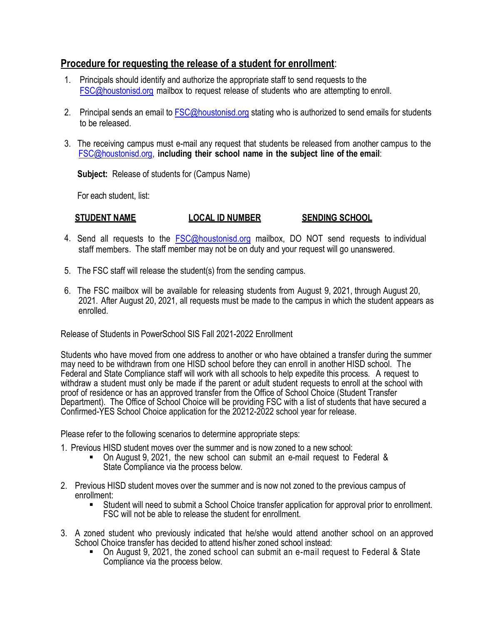## **Procedure for requesting the release of a student for enrollment**:

- 1. Principals should identify and authorize the appropriate staff to send requests to the [FSC@houstonisd.org](mailto:FSC@houstonisd.org) mailbox to request release of students who are attempting to enroll.
- 2. Principal sends an email to **FSC@houstonisd.org** stating who is authorized to send emails for students to be released.
- 3. The receiving campus must e-mail any request that students be released from another campus to the [FSC@houstonisd.org,](mailto:FSC@houstonisd.org) **including their school name in the subject line of the email**:

**Subject:** Release of students for (Campus Name)

For each student, list:

## **STUDENT NAME LOCAL ID NUMBER SENDING SCHOOL**

- 4. Send all requests to the [FSC@houstonisd.org](mailto:FSC@houstonisd.org) mailbox, DO NOT send requests to individual staff members. The staff member may not be on duty and your request will go unanswered.
- 5. The FSC staff will release the student(s) from the sending campus.
- 6. The FSC mailbox will be available for releasing students from August 9, 2021, through August 20, 2021. After August 20, 2021, all requests must be made to the campus in which the student appears as enrolled.

Release of Students in PowerSchool SIS Fall 2021-2022 Enrollment

Students who have moved from one address to another or who have obtained a transfer during the summer may need to be withdrawn from one HISD school before they can enroll in another HISD school. The Federal and State Compliance staff will work with all schools to help expedite this process. A request to withdraw a student must only be made if the parent or adult student requests to enroll at the school with proof of residence or has an approved transfer from the Office of School Choice (Student Transfer Department). The Office of School Choice will be providing FSC with a list of students that have secured a Confirmed-YES School Choice application for the 20212-2022 school year for release.

Please refer to the following scenarios to determine appropriate steps:

- 1. Previous HISD student moves over the summer and is now zoned to a new school: On August 9, 2021, the new school can submit an e-mail request to Federal &
	- State Compliance via the process below.
- 2. Previous HISD student moves over the summer and is now not zoned to the previous campus of
	- Student will need to submit a School Choice transfer application for approval prior to enrollment. FSC will not be able to release the student for enrollment.
- 3. A zoned student who previously indicated that he/she would attend another school on an approved School Choice transfer has decided to attend his/her zoned school instead:
	- On August 9, 2021, the zoned school can submit an e-mail request to Federal & State Compliance via the process below.